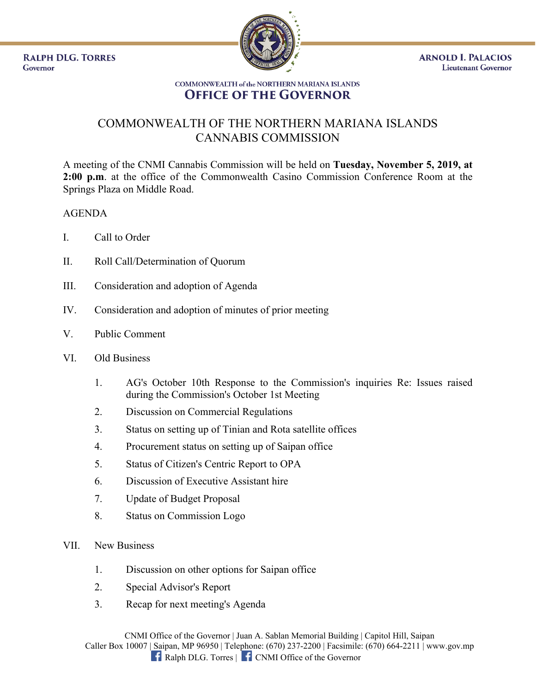**RALPH DLG. TORRES** Governor



## **COMMONWEALTH of the NORTHERN MARIANA ISLANDS OFFICE OF THE GOVERNOR**

## COMMONWEALTH OF THE NORTHERN MARIANA ISLANDS CANNABIS COMMISSION

A meeting of the CNMI Cannabis Commission will be held on **Tuesday, November 5, 2019, at 2:00 p.m**. at the office of the Commonwealth Casino Commission Conference Room at the Springs Plaza on Middle Road.

## AGENDA

- I. Call to Order
- II. Roll Call/Determination of Quorum
- III. Consideration and adoption of Agenda
- IV. Consideration and adoption of minutes of prior meeting
- V. Public Comment
- VI. Old Business
	- 1. AG's October 10th Response to the Commission's inquiries Re: Issues raised during the Commission's October 1st Meeting
	- 2. Discussion on Commercial Regulations
	- 3. Status on setting up of Tinian and Rota satellite offices
	- 4. Procurement status on setting up of Saipan office
	- 5. Status of Citizen's Centric Report to OPA
	- 6. Discussion of Executive Assistant hire
	- 7. Update of Budget Proposal
	- 8. Status on Commission Logo
- VII. New Business
	- 1. Discussion on other options for Saipan office
	- 2. Special Advisor's Report
	- 3. Recap for next meeting's Agenda